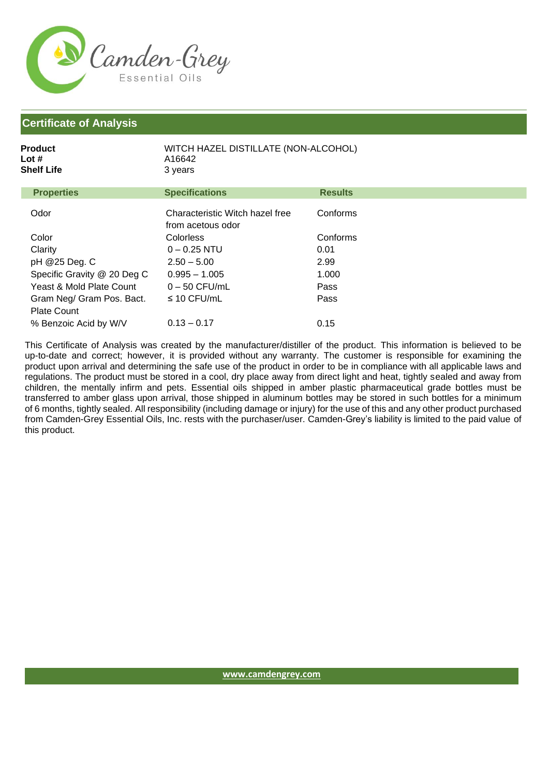

| Product<br>Lot #<br>Shelf Life | WITCH HAZEL DISTILLATE (NON-ALCOHOL)<br>A16642<br>3 years |                |
|--------------------------------|-----------------------------------------------------------|----------------|
| <b>Properties</b>              | <b>Specifications</b>                                     | <b>Results</b> |
| Odor                           | Characteristic Witch hazel free<br>from acetous odor      | Conforms       |
| Color                          | Colorless                                                 | Conforms       |
| Clarity                        | $0 - 0.25$ NTU                                            | 0.01           |
| pH @25 Deg. C                  | $2.50 - 5.00$                                             | 2.99           |
| Specific Gravity @ 20 Deg C    | $0.995 - 1.005$                                           | 1.000          |
| Yeast & Mold Plate Count       | $0 - 50$ CFU/mL                                           | Pass           |
| Gram Neg/ Gram Pos. Bact.      | $\leq$ 10 CFU/mL                                          | Pass           |
| <b>Plate Count</b>             |                                                           |                |
| % Benzoic Acid by W/V          | $0.13 - 0.17$                                             | 0.15           |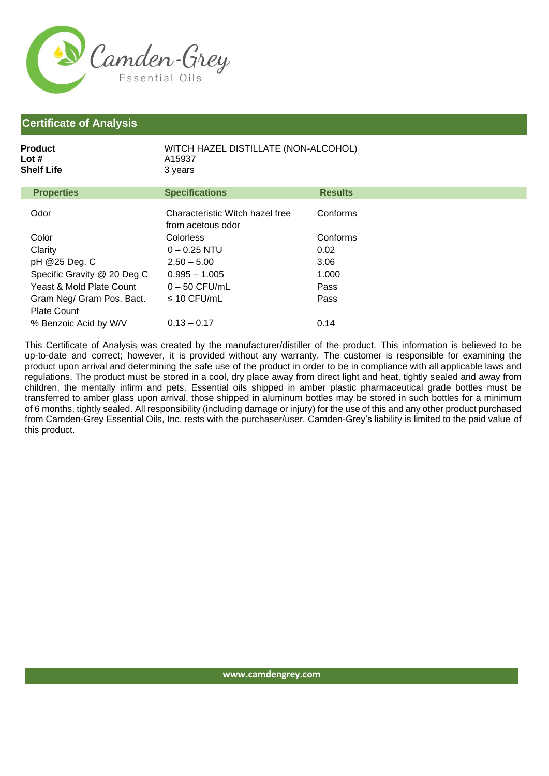

| Product<br>Lot #<br>Shelf Life | WITCH HAZEL DISTILLATE (NON-ALCOHOL)<br>A15937<br>3 years |                |  |
|--------------------------------|-----------------------------------------------------------|----------------|--|
| <b>Properties</b>              | <b>Specifications</b>                                     | <b>Results</b> |  |
| Odor                           | Characteristic Witch hazel free<br>from acetous odor      | Conforms       |  |
| Color                          | <b>Colorless</b>                                          | Conforms       |  |
| Clarity                        | $0 - 0.25$ NTU                                            | 0.02           |  |
| pH @25 Deg. C                  | $2.50 - 5.00$                                             | 3.06           |  |
| Specific Gravity @ 20 Deg C    | $0.995 - 1.005$                                           | 1.000          |  |
| Yeast & Mold Plate Count       | $0 - 50$ CFU/mL                                           | Pass           |  |
| Gram Neg/ Gram Pos. Bact.      | $\leq$ 10 CFU/mL                                          | Pass           |  |
| <b>Plate Count</b>             |                                                           |                |  |
| % Benzoic Acid by W/V          | $0.13 - 0.17$                                             | 0.14           |  |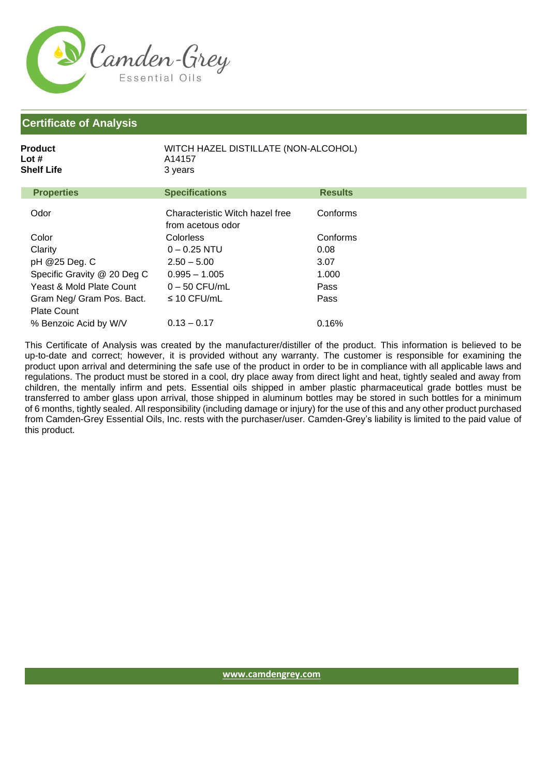

| Product<br>Lot #<br>Shelf Life | WITCH HAZEL DISTILLATE (NON-ALCOHOL)<br>A14157<br>3 years |                |  |
|--------------------------------|-----------------------------------------------------------|----------------|--|
| <b>Properties</b>              | <b>Specifications</b>                                     | <b>Results</b> |  |
| Odor                           | Characteristic Witch hazel free<br>from acetous odor      | Conforms       |  |
| Color                          | <b>Colorless</b>                                          | Conforms       |  |
| Clarity                        | $0 - 0.25$ NTU                                            | 0.08           |  |
| pH @25 Deg. C                  | $2.50 - 5.00$                                             | 3.07           |  |
| Specific Gravity @ 20 Deg C    | $0.995 - 1.005$                                           | 1.000          |  |
| Yeast & Mold Plate Count       | $0 - 50$ CFU/mL                                           | Pass           |  |
| Gram Neg/ Gram Pos. Bact.      | $\leq$ 10 CFU/mL                                          | Pass           |  |
| <b>Plate Count</b>             |                                                           |                |  |
| % Benzoic Acid by W/V          | $0.13 - 0.17$                                             | 0.16%          |  |